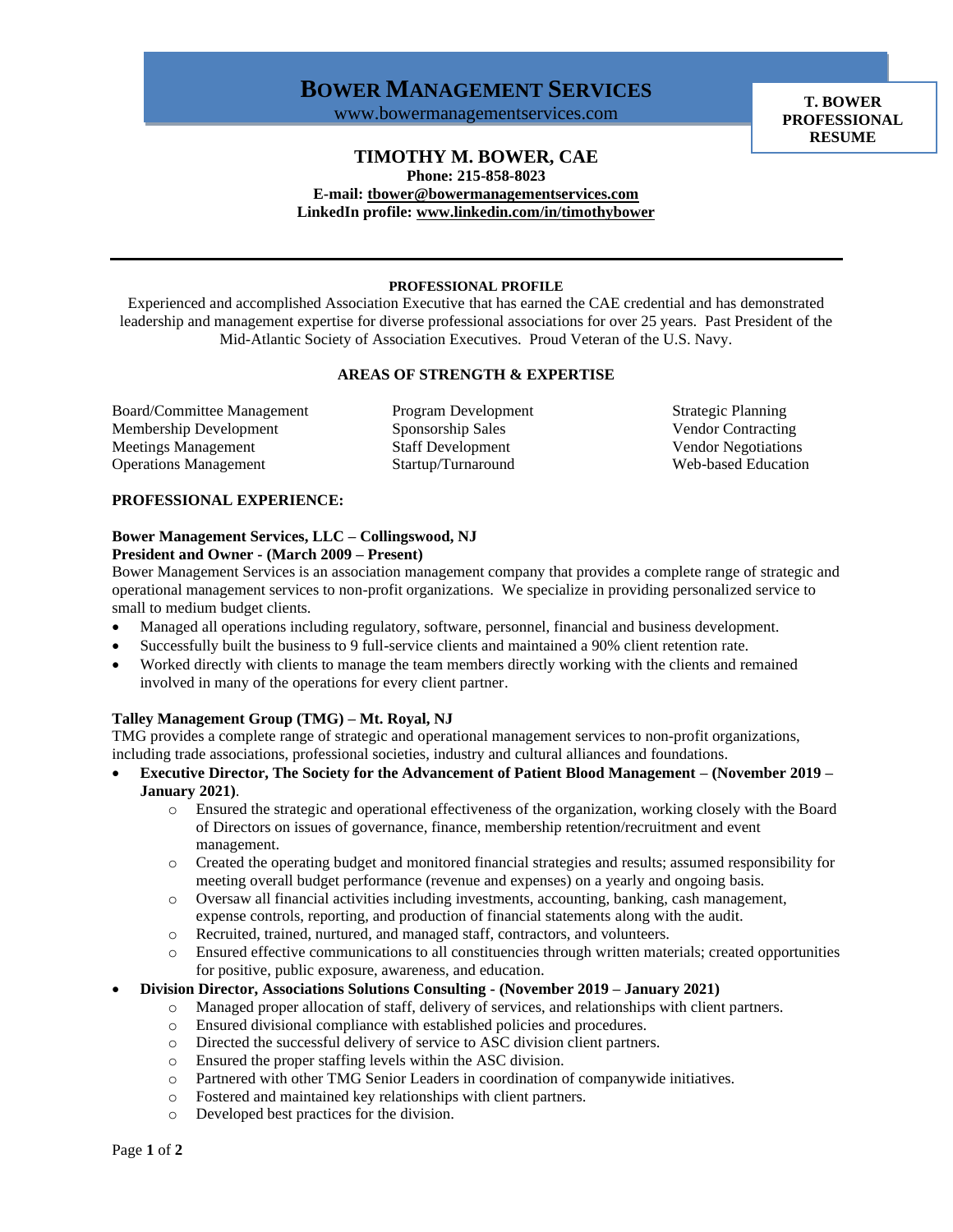# **BOWER MANAGEMENT SERVICES**

www.bowermanagementservices.com

**T. BOWER PROFESSIONAL RESUME**

## **TIMOTHY M. BOWER, CAE**

**Phone: 215-858-8023** 

**E-mail: [tbower@bowermanagementservices.com](mailto:tbower@bowermanagementservices.com) LinkedIn profile[: www.linkedin.com/in/timothybower](http://www.linkedin.com/in/timothybower)**

### **PROFESSIONAL PROFILE**

Experienced and accomplished Association Executive that has earned the CAE credential and has demonstrated leadership and management expertise for diverse professional associations for over 25 years. Past President of the Mid-Atlantic Society of Association Executives. Proud Veteran of the U.S. Navy.

#### **AREAS OF STRENGTH & EXPERTISE**

Board/Committee Management Program Development Strategic Planning Membership Development Sponsorship Sales Vendor Contracting Meetings Management Staff Development Vendor Negotiations Operations Management Startup/Turnaround Web-based Education

### **PROFESSIONAL EXPERIENCE:**

#### **Bower Management Services, LLC – Collingswood, NJ President and Owner - (March 2009 – Present)**

Bower Management Services is an association management company that provides a complete range of strategic and operational management services to non-profit organizations. We specialize in providing personalized service to small to medium budget clients.

- Managed all operations including regulatory, software, personnel, financial and business development.
- Successfully built the business to 9 full-service clients and maintained a 90% client retention rate.
- Worked directly with clients to manage the team members directly working with the clients and remained involved in many of the operations for every client partner.

### **Talley Management Group (TMG) – Mt. Royal, NJ**

TMG provides a complete range of strategic and operational management services to non-profit organizations, including trade associations, professional societies, industry and cultural alliances and foundations.

- **Executive Director, The Society for the Advancement of Patient Blood Management – (November 2019 – January 2021)**.
	- o Ensured the strategic and operational effectiveness of the organization, working closely with the Board of Directors on issues of governance, finance, membership retention/recruitment and event management.
	- o Created the operating budget and monitored financial strategies and results; assumed responsibility for meeting overall budget performance (revenue and expenses) on a yearly and ongoing basis.
	- o Oversaw all financial activities including investments, accounting, banking, cash management, expense controls, reporting, and production of financial statements along with the audit.
	- o Recruited, trained, nurtured, and managed staff, contractors, and volunteers.
	- o Ensured effective communications to all constituencies through written materials; created opportunities for positive, public exposure, awareness, and education.

### • **Division Director, Associations Solutions Consulting - (November 2019 – January 2021)**

- o Managed proper allocation of staff, delivery of services, and relationships with client partners.
- o Ensured divisional compliance with established policies and procedures.
- o Directed the successful delivery of service to ASC division client partners.
- o Ensured the proper staffing levels within the ASC division.
- o Partnered with other TMG Senior Leaders in coordination of companywide initiatives.
- o Fostered and maintained key relationships with client partners.
- o Developed best practices for the division.